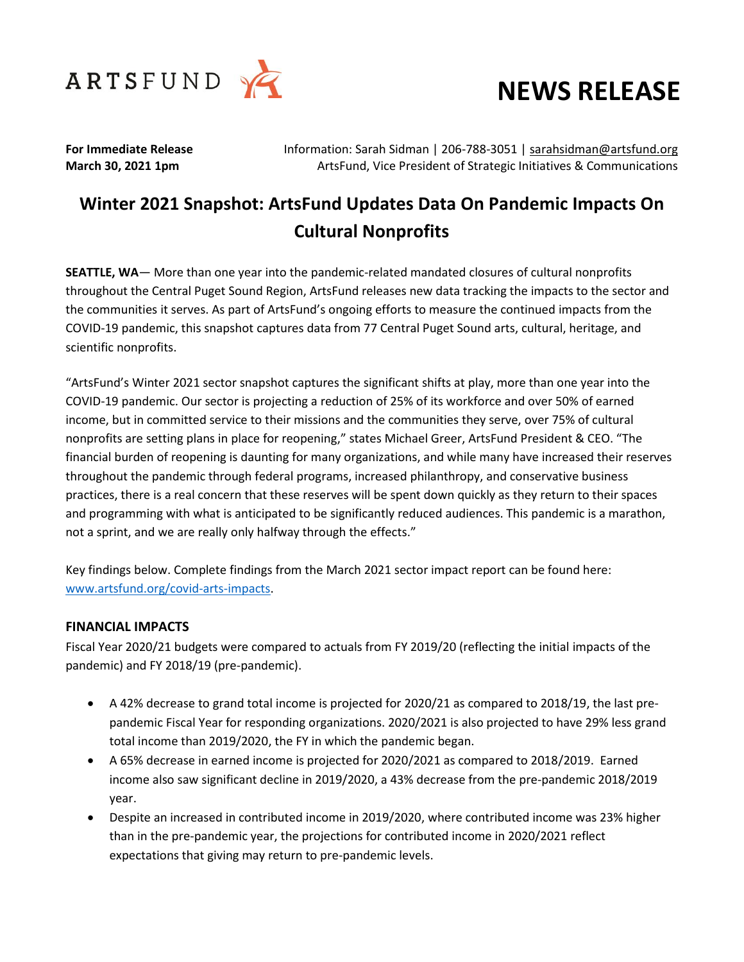



**For Immediate Release** Information: Sarah Sidman | 206-788-3051 | [sarahsidman@artsfund.org](mailto:sarahsidman@artsfund.org) **March 30, 2021 1pm ArtsFund, Vice President of Strategic Initiatives & Communications** 

# **Winter 2021 Snapshot: ArtsFund Updates Data On Pandemic Impacts On Cultural Nonprofits**

**SEATTLE, WA**— More than one year into the pandemic-related mandated closures of cultural nonprofits throughout the Central Puget Sound Region, ArtsFund releases new data tracking the impacts to the sector and the communities it serves. As part of ArtsFund's ongoing efforts to measure the continued impacts from the COVID-19 pandemic, this snapshot captures data from 77 Central Puget Sound arts, cultural, heritage, and scientific nonprofits.

"ArtsFund's Winter 2021 sector snapshot captures the significant shifts at play, more than one year into the COVID-19 pandemic. Our sector is projecting a reduction of 25% of its workforce and over 50% of earned income, but in committed service to their missions and the communities they serve, over 75% of cultural nonprofits are setting plans in place for reopening," states Michael Greer, ArtsFund President & CEO. "The financial burden of reopening is daunting for many organizations, and while many have increased their reserves throughout the pandemic through federal programs, increased philanthropy, and conservative business practices, there is a real concern that these reserves will be spent down quickly as they return to their spaces and programming with what is anticipated to be significantly reduced audiences. This pandemic is a marathon, not a sprint, and we are really only halfway through the effects."

Key findings below. Complete findings from the March 2021 sector impact report can be found here: [www.artsfund.org/covid-arts-impacts.](http://www.artsfund.org/covid-arts-impacts)

#### **FINANCIAL IMPACTS**

Fiscal Year 2020/21 budgets were compared to actuals from FY 2019/20 (reflecting the initial impacts of the pandemic) and FY 2018/19 (pre-pandemic).

- A 42% decrease to grand total income is projected for 2020/21 as compared to 2018/19, the last prepandemic Fiscal Year for responding organizations. 2020/2021 is also projected to have 29% less grand total income than 2019/2020, the FY in which the pandemic began.
- A 65% decrease in earned income is projected for 2020/2021 as compared to 2018/2019. Earned income also saw significant decline in 2019/2020, a 43% decrease from the pre-pandemic 2018/2019 year.
- Despite an increased in contributed income in 2019/2020, where contributed income was 23% higher than in the pre-pandemic year, the projections for contributed income in 2020/2021 reflect expectations that giving may return to pre-pandemic levels.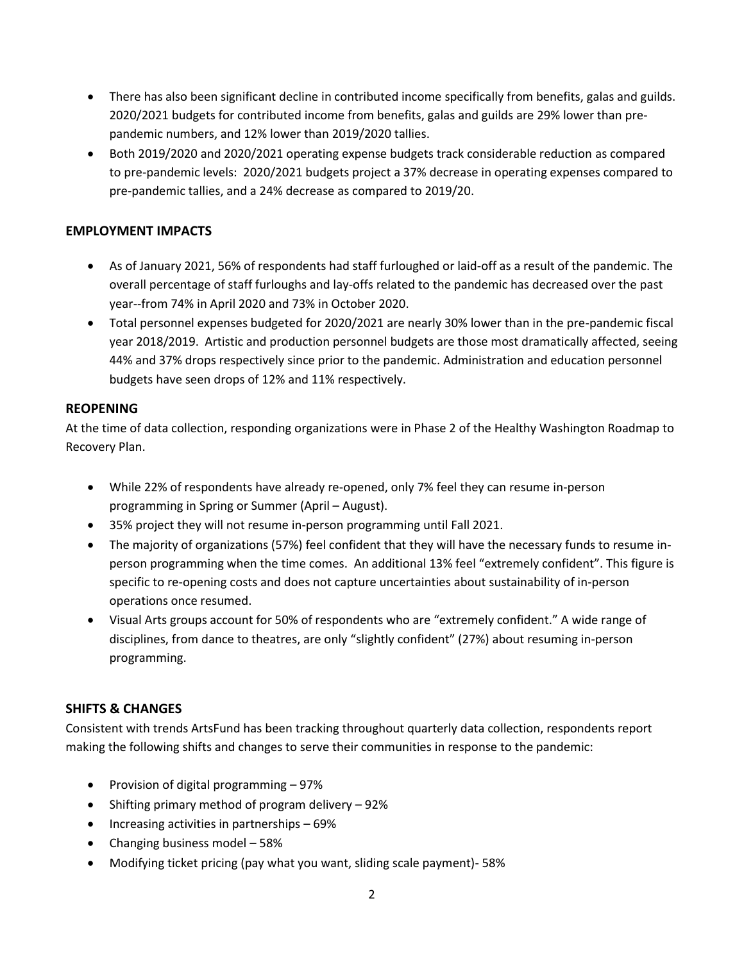- There has also been significant decline in contributed income specifically from benefits, galas and guilds. 2020/2021 budgets for contributed income from benefits, galas and guilds are 29% lower than prepandemic numbers, and 12% lower than 2019/2020 tallies.
- Both 2019/2020 and 2020/2021 operating expense budgets track considerable reduction as compared to pre-pandemic levels: 2020/2021 budgets project a 37% decrease in operating expenses compared to pre-pandemic tallies, and a 24% decrease as compared to 2019/20.

### **EMPLOYMENT IMPACTS**

- As of January 2021, 56% of respondents had staff furloughed or laid-off as a result of the pandemic. The overall percentage of staff furloughs and lay-offs related to the pandemic has decreased over the past year--from 74% in April 2020 and 73% in October 2020.
- Total personnel expenses budgeted for 2020/2021 are nearly 30% lower than in the pre-pandemic fiscal year 2018/2019. Artistic and production personnel budgets are those most dramatically affected, seeing 44% and 37% drops respectively since prior to the pandemic. Administration and education personnel budgets have seen drops of 12% and 11% respectively.

#### **REOPENING**

At the time of data collection, responding organizations were in Phase 2 of the Healthy Washington Roadmap to Recovery Plan.

- While 22% of respondents have already re-opened, only 7% feel they can resume in-person programming in Spring or Summer (April – August).
- 35% project they will not resume in-person programming until Fall 2021.
- The majority of organizations (57%) feel confident that they will have the necessary funds to resume inperson programming when the time comes. An additional 13% feel "extremely confident". This figure is specific to re-opening costs and does not capture uncertainties about sustainability of in-person operations once resumed.
- Visual Arts groups account for 50% of respondents who are "extremely confident." A wide range of disciplines, from dance to theatres, are only "slightly confident" (27%) about resuming in-person programming.

## **SHIFTS & CHANGES**

Consistent with trends ArtsFund has been tracking throughout quarterly data collection, respondents report making the following shifts and changes to serve their communities in response to the pandemic:

- Provision of digital programming 97%
- Shifting primary method of program delivery 92%
- Increasing activities in partnerships 69%
- Changing business model 58%
- Modifying ticket pricing (pay what you want, sliding scale payment)- 58%